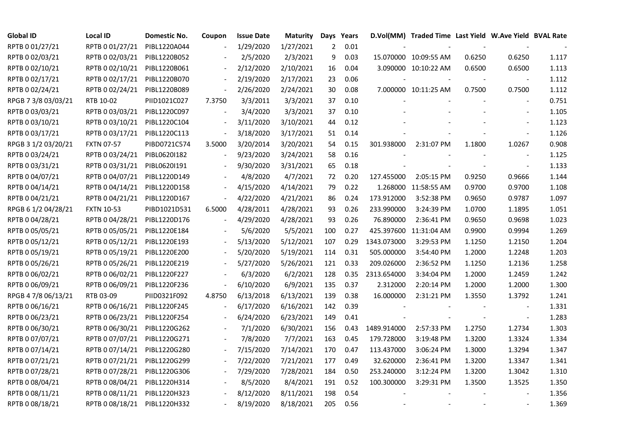| <b>Global ID</b>    | <b>Local ID</b>              | Domestic No. | Coupon | <b>Issue Date</b> | <b>Maturity</b> | Days           | Years |             | D.Vol(MM) Traded Time Last Yield W.Ave Yield BVAL Rate |        |                |       |
|---------------------|------------------------------|--------------|--------|-------------------|-----------------|----------------|-------|-------------|--------------------------------------------------------|--------|----------------|-------|
| RPTB 0 01/27/21     | RPTB 0 01/27/21              | PIBL1220A044 |        | 1/29/2020         | 1/27/2021       | $\overline{2}$ | 0.01  |             |                                                        |        |                |       |
| RPTB 0 02/03/21     | RPTB 0 02/03/21              | PIBL1220B052 |        | 2/5/2020          | 2/3/2021        | 9              | 0.03  |             | 15.070000 10:09:55 AM                                  | 0.6250 | 0.6250         | 1.117 |
| RPTB 0 02/10/21     | RPTB 0 02/10/21              | PIBL1220B061 |        | 2/12/2020         | 2/10/2021       | 16             | 0.04  |             | 3.090000 10:10:22 AM                                   | 0.6500 | 0.6500         | 1.113 |
| RPTB 0 02/17/21     | RPTB 0 02/17/21              | PIBL1220B070 |        | 2/19/2020         | 2/17/2021       | 23             | 0.06  |             |                                                        |        |                | 1.112 |
| RPTB 0 02/24/21     | RPTB 0 02/24/21              | PIBL1220B089 | $\Box$ | 2/26/2020         | 2/24/2021       | 30             | 0.08  |             | 7.000000 10:11:25 AM                                   | 0.7500 | 0.7500         | 1.112 |
| RPGB 7 3/8 03/03/21 | RTB 10-02                    | PIID1021C027 | 7.3750 | 3/3/2011          | 3/3/2021        | 37             | 0.10  |             |                                                        |        | $\blacksquare$ | 0.751 |
| RPTB 0 03/03/21     | RPTB 0 03/03/21              | PIBL1220C097 |        | 3/4/2020          | 3/3/2021        | 37             | 0.10  |             |                                                        |        |                | 1.105 |
| RPTB 0 03/10/21     | RPTB 0 03/10/21              | PIBL1220C104 |        | 3/11/2020         | 3/10/2021       | 44             | 0.12  |             |                                                        |        |                | 1.123 |
| RPTB 0 03/17/21     | RPTB 0 03/17/21              | PIBL1220C113 |        | 3/18/2020         | 3/17/2021       | 51             | 0.14  |             |                                                        |        |                | 1.126 |
| RPGB 3 1/2 03/20/21 | <b>FXTN 07-57</b>            | PIBD0721C574 | 3.5000 | 3/20/2014         | 3/20/2021       | 54             | 0.15  | 301.938000  | 2:31:07 PM                                             | 1.1800 | 1.0267         | 0.908 |
| RPTB 0 03/24/21     | RPTB 0 03/24/21              | PIBL0620I182 |        | 9/23/2020         | 3/24/2021       | 58             | 0.16  |             |                                                        |        | $\blacksquare$ | 1.125 |
| RPTB 0 03/31/21     | RPTB 0 03/31/21              | PIBL0620I191 |        | 9/30/2020         | 3/31/2021       | 65             | 0.18  |             |                                                        |        |                | 1.133 |
| RPTB 0 04/07/21     | RPTB 0 04/07/21              | PIBL1220D149 |        | 4/8/2020          | 4/7/2021        | 72             | 0.20  | 127.455000  | 2:05:15 PM                                             | 0.9250 | 0.9666         | 1.144 |
| RPTB 0 04/14/21     | RPTB 0 04/14/21              | PIBL1220D158 |        | 4/15/2020         | 4/14/2021       | 79             | 0.22  |             | 1.268000 11:58:55 AM                                   | 0.9700 | 0.9700         | 1.108 |
| RPTB 0 04/21/21     | RPTB 0 04/21/21              | PIBL1220D167 |        | 4/22/2020         | 4/21/2021       | 86             | 0.24  | 173.912000  | 3:52:38 PM                                             | 0.9650 | 0.9787         | 1.097 |
| RPGB 6 1/2 04/28/21 | <b>FXTN 10-53</b>            | PIBD1021D531 | 6.5000 | 4/28/2011         | 4/28/2021       | 93             | 0.26  | 233.990000  | 3:24:39 PM                                             | 1.0700 | 1.1895         | 1.051 |
| RPTB 0 04/28/21     | RPTB 0 04/28/21              | PIBL1220D176 |        | 4/29/2020         | 4/28/2021       | 93             | 0.26  | 76.890000   | 2:36:41 PM                                             | 0.9650 | 0.9698         | 1.023 |
| RPTB 0 05/05/21     | RPTB 0 05/05/21              | PIBL1220E184 |        | 5/6/2020          | 5/5/2021        | 100            | 0.27  |             | 425.397600 11:31:04 AM                                 | 0.9900 | 0.9994         | 1.269 |
| RPTB 0 05/12/21     | RPTB 0 05/12/21              | PIBL1220E193 |        | 5/13/2020         | 5/12/2021       | 107            | 0.29  | 1343.073000 | 3:29:53 PM                                             | 1.1250 | 1.2150         | 1.204 |
| RPTB 0 05/19/21     | RPTB 0 05/19/21              | PIBL1220E200 |        | 5/20/2020         | 5/19/2021       | 114            | 0.31  | 505.000000  | 3:54:40 PM                                             | 1.2000 | 1.2248         | 1.203 |
| RPTB 0 05/26/21     | RPTB 0 05/26/21              | PIBL1220E219 |        | 5/27/2020         | 5/26/2021       | 121            | 0.33  | 209.026000  | 2:36:52 PM                                             | 1.1250 | 1.2136         | 1.258 |
| RPTB 0 06/02/21     | RPTB 0 06/02/21              | PIBL1220F227 |        | 6/3/2020          | 6/2/2021        | 128            | 0.35  | 2313.654000 | 3:34:04 PM                                             | 1.2000 | 1.2459         | 1.242 |
| RPTB 0 06/09/21     | RPTB 0 06/09/21              | PIBL1220F236 |        | 6/10/2020         | 6/9/2021        | 135            | 0.37  | 2.312000    | 2:20:14 PM                                             | 1.2000 | 1.2000         | 1.300 |
| RPGB 4 7/8 06/13/21 | RTB 03-09                    | PIID0321F092 | 4.8750 | 6/13/2018         | 6/13/2021       | 139            | 0.38  | 16.000000   | 2:31:21 PM                                             | 1.3550 | 1.3792         | 1.241 |
| RPTB 0 06/16/21     | RPTB 0 06/16/21              | PIBL1220F245 |        | 6/17/2020         | 6/16/2021       | 142            | 0.39  |             |                                                        |        | $\blacksquare$ | 1.331 |
| RPTB 0 06/23/21     | RPTB 0 06/23/21              | PIBL1220F254 |        | 6/24/2020         | 6/23/2021       | 149            | 0.41  |             |                                                        |        | $\blacksquare$ | 1.283 |
| RPTB 0 06/30/21     | RPTB 0 06/30/21              | PIBL1220G262 |        | 7/1/2020          | 6/30/2021       | 156            | 0.43  | 1489.914000 | 2:57:33 PM                                             | 1.2750 | 1.2734         | 1.303 |
| RPTB 0 07/07/21     | RPTB 0 07/07/21              | PIBL1220G271 |        | 7/8/2020          | 7/7/2021        | 163            | 0.45  | 179.728000  | 3:19:48 PM                                             | 1.3200 | 1.3324         | 1.334 |
| RPTB 0 07/14/21     | RPTB 0 07/14/21              | PIBL1220G280 |        | 7/15/2020         | 7/14/2021       | 170            | 0.47  | 113.437000  | 3:06:24 PM                                             | 1.3000 | 1.3294         | 1.347 |
| RPTB 0 07/21/21     | RPTB 0 07/21/21              | PIBL1220G299 |        | 7/22/2020         | 7/21/2021       | 177            | 0.49  | 32.620000   | 2:36:41 PM                                             | 1.3200 | 1.3347         | 1.341 |
| RPTB 0 07/28/21     | RPTB 0 07/28/21              | PIBL1220G306 |        | 7/29/2020         | 7/28/2021       | 184            | 0.50  | 253.240000  | 3:12:24 PM                                             | 1.3200 | 1.3042         | 1.310 |
| RPTB 0 08/04/21     | RPTB 0 08/04/21              | PIBL1220H314 |        | 8/5/2020          | 8/4/2021        | 191            | 0.52  | 100.300000  | 3:29:31 PM                                             | 1.3500 | 1.3525         | 1.350 |
| RPTB 0 08/11/21     | RPTB 0 08/11/21              | PIBL1220H323 |        | 8/12/2020         | 8/11/2021       | 198            | 0.54  |             |                                                        |        |                | 1.356 |
| RPTB 0 08/18/21     | RPTB 0 08/18/21 PIBL1220H332 |              |        | 8/19/2020         | 8/18/2021       | 205            | 0.56  |             |                                                        |        |                | 1.369 |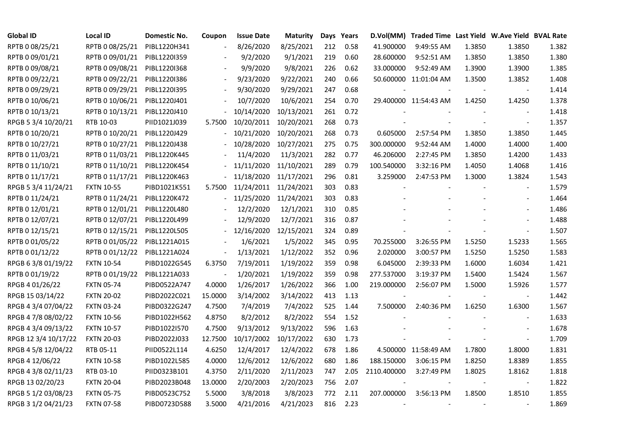| <b>Global ID</b>     | <b>Local ID</b>   | Domestic No. | Coupon                   | <b>Issue Date</b>     | <b>Maturity</b> |     | Days Years |             | D.Vol(MM) Traded Time Last Yield W.Ave Yield BVAL Rate |        |                          |       |
|----------------------|-------------------|--------------|--------------------------|-----------------------|-----------------|-----|------------|-------------|--------------------------------------------------------|--------|--------------------------|-------|
| RPTB 0 08/25/21      | RPTB 0 08/25/21   | PIBL1220H341 | $\overline{\phantom{a}}$ | 8/26/2020             | 8/25/2021       | 212 | 0.58       | 41.900000   | 9:49:55 AM                                             | 1.3850 | 1.3850                   | 1.382 |
| RPTB 0 09/01/21      | RPTB 0 09/01/21   | PIBL1220I359 |                          | 9/2/2020              | 9/1/2021        | 219 | 0.60       | 28.600000   | 9:52:51 AM                                             | 1.3850 | 1.3850                   | 1.380 |
| RPTB 0 09/08/21      | RPTB 0 09/08/21   | PIBL1220I368 |                          | 9/9/2020              | 9/8/2021        | 226 | 0.62       | 33.000000   | 9:52:49 AM                                             | 1.3900 | 1.3900                   | 1.385 |
| RPTB 0 09/22/21      | RPTB 0 09/22/21   | PIBL1220I386 | $\blacksquare$           | 9/23/2020             | 9/22/2021       | 240 | 0.66       |             | 50.600000 11:01:04 AM                                  | 1.3500 | 1.3852                   | 1.408 |
| RPTB 0 09/29/21      | RPTB 0 09/29/21   | PIBL1220I395 |                          | 9/30/2020             | 9/29/2021       | 247 | 0.68       |             |                                                        |        |                          | 1.414 |
| RPTB 0 10/06/21      | RPTB 0 10/06/21   | PIBL1220J401 |                          | 10/7/2020             | 10/6/2021       | 254 | 0.70       |             | 29.400000 11:54:43 AM                                  | 1.4250 | 1.4250                   | 1.378 |
| RPTB 0 10/13/21      | RPTB 0 10/13/21   | PIBL1220J410 |                          | 10/14/2020            | 10/13/2021      | 261 | 0.72       |             |                                                        |        |                          | 1.418 |
| RPGB 5 3/4 10/20/21  | RTB 10-03         | PIID1021J039 | 5.7500                   | 10/20/2011            | 10/20/2021      | 268 | 0.73       |             |                                                        |        | $\overline{\phantom{a}}$ | 1.357 |
| RPTB 0 10/20/21      | RPTB 0 10/20/21   | PIBL1220J429 |                          | 10/21/2020            | 10/20/2021      | 268 | 0.73       | 0.605000    | 2:57:54 PM                                             | 1.3850 | 1.3850                   | 1.445 |
| RPTB 0 10/27/21      | RPTB 0 10/27/21   | PIBL1220J438 |                          | 10/28/2020            | 10/27/2021      | 275 | 0.75       | 300.000000  | 9:52:44 AM                                             | 1.4000 | 1.4000                   | 1.400 |
| RPTB 0 11/03/21      | RPTB 0 11/03/21   | PIBL1220K445 |                          | 11/4/2020             | 11/3/2021       | 282 | 0.77       | 46.206000   | 2:27:45 PM                                             | 1.3850 | 1.4200                   | 1.433 |
| RPTB 0 11/10/21      | RPTB 0 11/10/21   | PIBL1220K454 |                          | 11/11/2020            | 11/10/2021      | 289 | 0.79       | 100.540000  | 3:32:16 PM                                             | 1.4050 | 1.4068                   | 1.416 |
| RPTB 0 11/17/21      | RPTB 0 11/17/21   | PIBL1220K463 |                          | 11/18/2020            | 11/17/2021      | 296 | 0.81       | 3.259000    | 2:47:53 PM                                             | 1.3000 | 1.3824                   | 1.543 |
| RPGB 5 3/4 11/24/21  | <b>FXTN 10-55</b> | PIBD1021K551 | 5.7500                   | 11/24/2011 11/24/2021 |                 | 303 | 0.83       |             |                                                        |        | $\blacksquare$           | 1.579 |
| RPTB 0 11/24/21      | RPTB 0 11/24/21   | PIBL1220K472 |                          | 11/25/2020            | 11/24/2021      | 303 | 0.83       |             |                                                        |        |                          | 1.464 |
| RPTB 0 12/01/21      | RPTB 0 12/01/21   | PIBL1220L480 |                          | 12/2/2020             | 12/1/2021       | 310 | 0.85       |             |                                                        |        |                          | 1.486 |
| RPTB 0 12/07/21      | RPTB 0 12/07/21   | PIBL1220L499 |                          | 12/9/2020             | 12/7/2021       | 316 | 0.87       |             |                                                        |        |                          | 1.488 |
| RPTB 0 12/15/21      | RPTB 0 12/15/21   | PIBL1220L505 | $\sim$                   | 12/16/2020            | 12/15/2021      | 324 | 0.89       |             |                                                        |        | $\blacksquare$           | 1.507 |
| RPTB 0 01/05/22      | RPTB 0 01/05/22   | PIBL1221A015 |                          | 1/6/2021              | 1/5/2022        | 345 | 0.95       | 70.255000   | 3:26:55 PM                                             | 1.5250 | 1.5233                   | 1.565 |
| RPTB 0 01/12/22      | RPTB 0 01/12/22   | PIBL1221A024 | $\Box$                   | 1/13/2021             | 1/12/2022       | 352 | 0.96       | 2.020000    | 3:00:57 PM                                             | 1.5250 | 1.5250                   | 1.583 |
| RPGB 63/8 01/19/22   | <b>FXTN 10-54</b> | PIBD1022G545 | 6.3750                   | 7/19/2011             | 1/19/2022       | 359 | 0.98       | 6.045000    | 2:39:33 PM                                             | 1.6000 | 1.6034                   | 1.421 |
| RPTB 0 01/19/22      | RPTB 0 01/19/22   | PIBL1221A033 | $\overline{a}$           | 1/20/2021             | 1/19/2022       | 359 | 0.98       | 277.537000  | 3:19:37 PM                                             | 1.5400 | 1.5424                   | 1.567 |
| RPGB 4 01/26/22      | <b>FXTN 05-74</b> | PIBD0522A747 | 4.0000                   | 1/26/2017             | 1/26/2022       | 366 | 1.00       | 219.000000  | 2:56:07 PM                                             | 1.5000 | 1.5926                   | 1.577 |
| RPGB 15 03/14/22     | <b>FXTN 20-02</b> | PIBD2022C021 | 15.0000                  | 3/14/2002             | 3/14/2022       | 413 | 1.13       |             |                                                        |        |                          | 1.442 |
| RPGB 4 3/4 07/04/22  | <b>FXTN 03-24</b> | PIBD0322G247 | 4.7500                   | 7/4/2019              | 7/4/2022        | 525 | 1.44       | 7.500000    | 2:40:36 PM                                             | 1.6250 | 1.6300                   | 1.567 |
| RPGB 4 7/8 08/02/22  | <b>FXTN 10-56</b> | PIBD1022H562 | 4.8750                   | 8/2/2012              | 8/2/2022        | 554 | 1.52       |             |                                                        |        |                          | 1.633 |
| RPGB 4 3/4 09/13/22  | <b>FXTN 10-57</b> | PIBD1022I570 | 4.7500                   | 9/13/2012             | 9/13/2022       | 596 | 1.63       |             |                                                        |        |                          | 1.678 |
| RPGB 12 3/4 10/17/22 | <b>FXTN 20-03</b> | PIBD2022J033 | 12.7500                  | 10/17/2002            | 10/17/2022      | 630 | 1.73       |             |                                                        |        | $\blacksquare$           | 1.709 |
| RPGB 4 5/8 12/04/22  | RTB 05-11         | PIID0522L114 | 4.6250                   | 12/4/2017             | 12/4/2022       | 678 | 1.86       |             | 4.500000 11:58:49 AM                                   | 1.7800 | 1.8000                   | 1.831 |
| RPGB 4 12/06/22      | <b>FXTN 10-58</b> | PIBD1022L585 | 4.0000                   | 12/6/2012             | 12/6/2022       | 680 | 1.86       | 188.150000  | 3:06:15 PM                                             | 1.8250 | 1.8389                   | 1.855 |
| RPGB 4 3/8 02/11/23  | RTB 03-10         | PIID0323B101 | 4.3750                   | 2/11/2020             | 2/11/2023       | 747 | 2.05       | 2110.400000 | 3:27:49 PM                                             | 1.8025 | 1.8162                   | 1.818 |
| RPGB 13 02/20/23     | <b>FXTN 20-04</b> | PIBD2023B048 | 13.0000                  | 2/20/2003             | 2/20/2023       | 756 | 2.07       |             |                                                        |        | $\blacksquare$           | 1.822 |
| RPGB 5 1/2 03/08/23  | <b>FXTN 05-75</b> | PIBD0523C752 | 5.5000                   | 3/8/2018              | 3/8/2023        | 772 | 2.11       | 207.000000  | 3:56:13 PM                                             | 1.8500 | 1.8510                   | 1.855 |
| RPGB 3 1/2 04/21/23  | <b>FXTN 07-58</b> | PIBD0723D588 | 3.5000                   | 4/21/2016             | 4/21/2023       | 816 | 2.23       |             |                                                        |        |                          | 1.869 |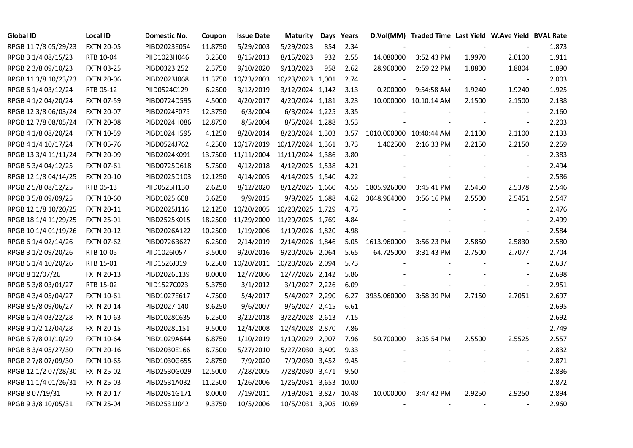| <b>Global ID</b>     | <b>Local ID</b>   | Domestic No. | Coupon  | <b>Issue Date</b> | <b>Maturity</b>       | Days | Years |                         | D.Vol(MM) Traded Time Last Yield W.Ave Yield BVAL Rate |        |                          |       |
|----------------------|-------------------|--------------|---------|-------------------|-----------------------|------|-------|-------------------------|--------------------------------------------------------|--------|--------------------------|-------|
| RPGB 11 7/8 05/29/23 | <b>FXTN 20-05</b> | PIBD2023E054 | 11.8750 | 5/29/2003         | 5/29/2023             | 854  | 2.34  |                         |                                                        |        |                          | 1.873 |
| RPGB 3 1/4 08/15/23  | RTB 10-04         | PIID1023H046 | 3.2500  | 8/15/2013         | 8/15/2023             | 932  | 2.55  | 14.080000               | 3:52:43 PM                                             | 1.9970 | 2.0100                   | 1.911 |
| RPGB 2 3/8 09/10/23  | <b>FXTN 03-25</b> | PIBD0323I252 | 2.3750  | 9/10/2020         | 9/10/2023             | 958  | 2.62  | 28.960000               | 2:59:22 PM                                             | 1.8800 | 1.8804                   | 1.890 |
| RPGB 11 3/8 10/23/23 | <b>FXTN 20-06</b> | PIBD2023J068 | 11.3750 | 10/23/2003        | 10/23/2023 1,001      |      | 2.74  |                         |                                                        |        | $\overline{\phantom{a}}$ | 2.003 |
| RPGB 6 1/4 03/12/24  | RTB 05-12         | PIID0524C129 | 6.2500  | 3/12/2019         | 3/12/2024 1,142       |      | 3.13  | 0.200000                | 9:54:58 AM                                             | 1.9240 | 1.9240                   | 1.925 |
| RPGB 4 1/2 04/20/24  | <b>FXTN 07-59</b> | PIBD0724D595 | 4.5000  | 4/20/2017         | 4/20/2024 1,181       |      | 3.23  |                         | 10.000000 10:10:14 AM                                  | 2.1500 | 2.1500                   | 2.138 |
| RPGB 12 3/8 06/03/24 | <b>FXTN 20-07</b> | PIBD2024F075 | 12.3750 | 6/3/2004          | 6/3/2024 1,225        |      | 3.35  |                         |                                                        |        |                          | 2.160 |
| RPGB 12 7/8 08/05/24 | <b>FXTN 20-08</b> | PIBD2024H086 | 12.8750 | 8/5/2004          | 8/5/2024 1,288        |      | 3.53  |                         |                                                        |        | $\bar{\phantom{a}}$      | 2.203 |
| RPGB 4 1/8 08/20/24  | <b>FXTN 10-59</b> | PIBD1024H595 | 4.1250  | 8/20/2014         | 8/20/2024 1,303       |      | 3.57  | 1010.000000 10:40:44 AM |                                                        | 2.1100 | 2.1100                   | 2.133 |
| RPGB 4 1/4 10/17/24  | <b>FXTN 05-76</b> | PIBD0524J762 | 4.2500  | 10/17/2019        | 10/17/2024 1,361      |      | 3.73  | 1.402500                | 2:16:33 PM                                             | 2.2150 | 2.2150                   | 2.259 |
| RPGB 13 3/4 11/11/24 | <b>FXTN 20-09</b> | PIBD2024K091 | 13.7500 | 11/11/2004        | 11/11/2024 1,386      |      | 3.80  |                         |                                                        |        | $\blacksquare$           | 2.383 |
| RPGB 5 3/4 04/12/25  | <b>FXTN 07-61</b> | PIBD0725D618 | 5.7500  | 4/12/2018         | 4/12/2025 1,538       |      | 4.21  |                         |                                                        |        |                          | 2.494 |
| RPGB 12 1/8 04/14/25 | <b>FXTN 20-10</b> | PIBD2025D103 | 12.1250 | 4/14/2005         | 4/14/2025 1,540       |      | 4.22  |                         |                                                        |        | $\overline{\phantom{a}}$ | 2.586 |
| RPGB 2 5/8 08/12/25  | RTB 05-13         | PIID0525H130 | 2.6250  | 8/12/2020         | 8/12/2025 1,660       |      | 4.55  | 1805.926000             | 3:45:41 PM                                             | 2.5450 | 2.5378                   | 2.546 |
| RPGB 3 5/8 09/09/25  | <b>FXTN 10-60</b> | PIBD10251608 | 3.6250  | 9/9/2015          | 9/9/2025 1,688        |      | 4.62  | 3048.964000             | 3:56:16 PM                                             | 2.5500 | 2.5451                   | 2.547 |
| RPGB 12 1/8 10/20/25 | <b>FXTN 20-11</b> | PIBD2025J116 | 12.1250 | 10/20/2005        | 10/20/2025 1,729      |      | 4.73  |                         |                                                        |        |                          | 2.476 |
| RPGB 18 1/4 11/29/25 | <b>FXTN 25-01</b> | PIBD2525K015 | 18.2500 | 11/29/2000        | 11/29/2025 1,769      |      | 4.84  |                         |                                                        |        |                          | 2.499 |
| RPGB 10 1/4 01/19/26 | <b>FXTN 20-12</b> | PIBD2026A122 | 10.2500 | 1/19/2006         | 1/19/2026 1,820       |      | 4.98  |                         |                                                        |        |                          | 2.584 |
| RPGB 6 1/4 02/14/26  | <b>FXTN 07-62</b> | PIBD0726B627 | 6.2500  | 2/14/2019         | 2/14/2026 1,846       |      | 5.05  | 1613.960000             | 3:56:23 PM                                             | 2.5850 | 2.5830                   | 2.580 |
| RPGB 3 1/2 09/20/26  | RTB 10-05         | PIID1026I057 | 3.5000  | 9/20/2016         | 9/20/2026 2,064       |      | 5.65  | 64.725000               | 3:31:43 PM                                             | 2.7500 | 2.7077                   | 2.704 |
| RPGB 6 1/4 10/20/26  | RTB 15-01         | PIID1526J019 | 6.2500  | 10/20/2011        | 10/20/2026 2,094      |      | 5.73  |                         |                                                        |        | $\sim$                   | 2.637 |
| RPGB 8 12/07/26      | <b>FXTN 20-13</b> | PIBD2026L139 | 8.0000  | 12/7/2006         | 12/7/2026 2,142       |      | 5.86  |                         |                                                        |        |                          | 2.698 |
| RPGB 5 3/8 03/01/27  | RTB 15-02         | PIID1527C023 | 5.3750  | 3/1/2012          | 3/1/2027 2,226        |      | 6.09  |                         |                                                        |        |                          | 2.951 |
| RPGB 4 3/4 05/04/27  | <b>FXTN 10-61</b> | PIBD1027E617 | 4.7500  | 5/4/2017          | 5/4/2027 2,290        |      | 6.27  | 3935.060000             | 3:58:39 PM                                             | 2.7150 | 2.7051                   | 2.697 |
| RPGB 8 5/8 09/06/27  | <b>FXTN 20-14</b> | PIBD2027I140 | 8.6250  | 9/6/2007          | 9/6/2027 2,415        |      | 6.61  |                         |                                                        |        | $\blacksquare$           | 2.695 |
| RPGB 6 1/4 03/22/28  | <b>FXTN 10-63</b> | PIBD1028C635 | 6.2500  | 3/22/2018         | 3/22/2028 2,613       |      | 7.15  |                         |                                                        |        |                          | 2.692 |
| RPGB 9 1/2 12/04/28  | <b>FXTN 20-15</b> | PIBD2028L151 | 9.5000  | 12/4/2008         | 12/4/2028 2,870       |      | 7.86  |                         |                                                        |        | $\blacksquare$           | 2.749 |
| RPGB 6 7/8 01/10/29  | <b>FXTN 10-64</b> | PIBD1029A644 | 6.8750  | 1/10/2019         | 1/10/2029 2,907       |      | 7.96  | 50.700000               | 3:05:54 PM                                             | 2.5500 | 2.5525                   | 2.557 |
| RPGB 8 3/4 05/27/30  | <b>FXTN 20-16</b> | PIBD2030E166 | 8.7500  | 5/27/2010         | 5/27/2030 3,409       |      | 9.33  |                         |                                                        |        |                          | 2.832 |
| RPGB 2 7/8 07/09/30  | <b>FXTN 10-65</b> | PIBD1030G655 | 2.8750  | 7/9/2020          | 7/9/2030 3,452        |      | 9.45  |                         |                                                        |        |                          | 2.871 |
| RPGB 12 1/2 07/28/30 | <b>FXTN 25-02</b> | PIBD2530G029 | 12.5000 | 7/28/2005         | 7/28/2030 3,471       |      | 9.50  |                         |                                                        |        |                          | 2.836 |
| RPGB 11 1/4 01/26/31 | <b>FXTN 25-03</b> | PIBD2531A032 | 11.2500 | 1/26/2006         | 1/26/2031 3,653 10.00 |      |       |                         |                                                        |        | $\blacksquare$           | 2.872 |
| RPGB 8 07/19/31      | <b>FXTN 20-17</b> | PIBD2031G171 | 8.0000  | 7/19/2011         | 7/19/2031 3,827 10.48 |      |       | 10.000000               | 3:47:42 PM                                             | 2.9250 | 2.9250                   | 2.894 |
| RPGB 9 3/8 10/05/31  | <b>FXTN 25-04</b> | PIBD2531J042 | 9.3750  | 10/5/2006         | 10/5/2031 3,905 10.69 |      |       |                         |                                                        |        |                          | 2.960 |